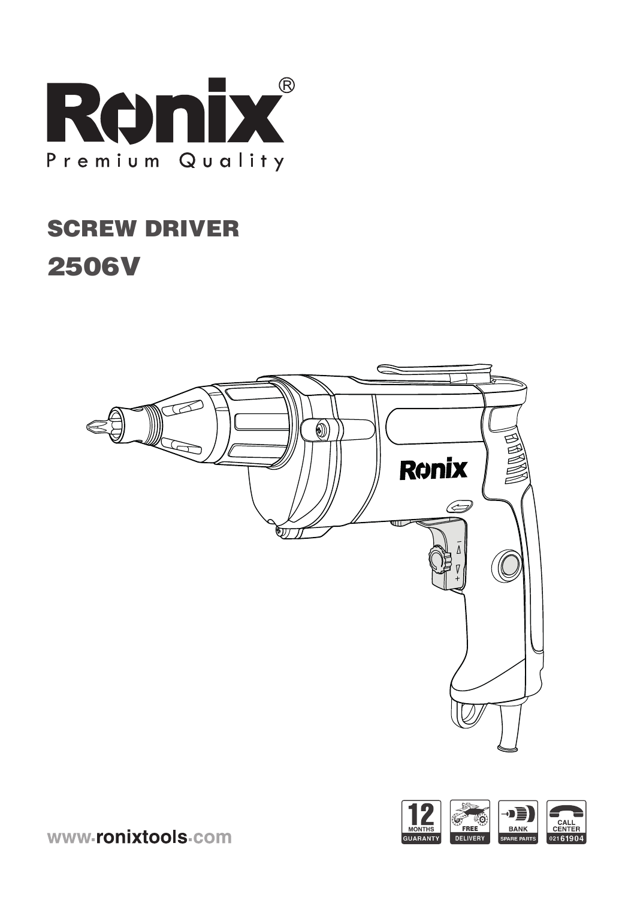

# SCREW DRIVER 2506V





www-ronixtools-com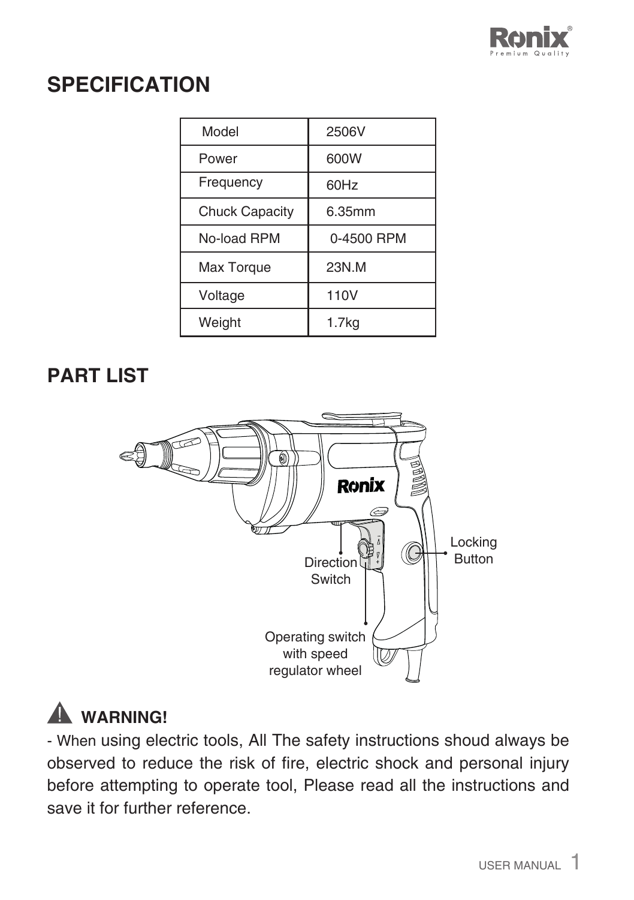

### **SPECIFICATION**

| Model          | 2506V      |  |
|----------------|------------|--|
| Power          | 600W       |  |
| Frequency      | 60Hz       |  |
| Chuck Capacity | 6.35mm     |  |
| No-load RPM    | 0-4500 RPM |  |
| Max Torque     | 23N.M      |  |
| Voltage        | 110V       |  |
| Weight         | 1.7kg      |  |

### **PART LIST**



## **WARNING!**

- When using electric tools, All The safety instructions shoud always be observed to reduce the risk of fire, electric shock and personal injury before attempting to operate tool, Please read all the instructions and save it for further reference.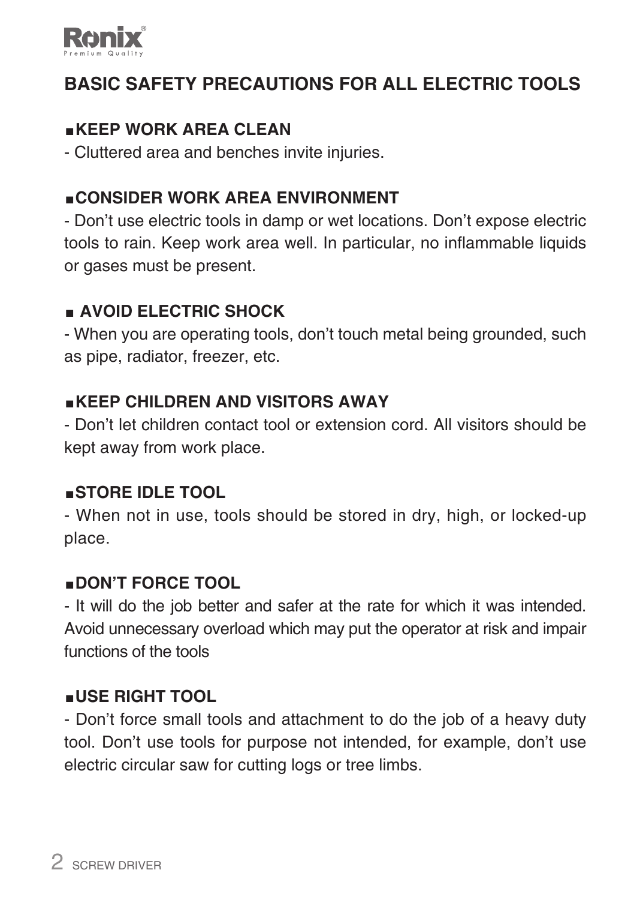

### **BASIC SAFETY PRECAUTIONS FOR ALL ELECTRIC TOOLS**

### .**KEEP WORK AREA CLEAN**

- Cluttered area and benches invite injuries.

#### .**CONSIDER WORK AREA ENVIRONMENT**

- Don't use electric tools in damp or wet locations. Don't expose electric tools to rain. Keep work area well. In particular, no inflammable liquids or gases must be present.

### . **AVOID ELECTRIC SHOCK**

- When you are operating tools, don't touch metal being grounded, such as pipe, radiator, freezer, etc.

### .**KEEP CHILDREN AND VISITORS AWAY**

- Don't let children contact tool or extension cord. All visitors should be kept away from work place.

#### .**STORE IDLE TOOL**

- When not in use, tools should be stored in dry, high, or locked-up place.

#### .**DON'T FORCE TOOL**

- It will do the job better and safer at the rate for which it was intended. Avoid unnecessary overload which may put the operator at risk and impair functions of the tools

#### .**USE RIGHT TOOL**

- Don't force small tools and attachment to do the job of a heavy duty tool. Don't use tools for purpose not intended, for example, don't use electric circular saw for cutting logs or tree limbs.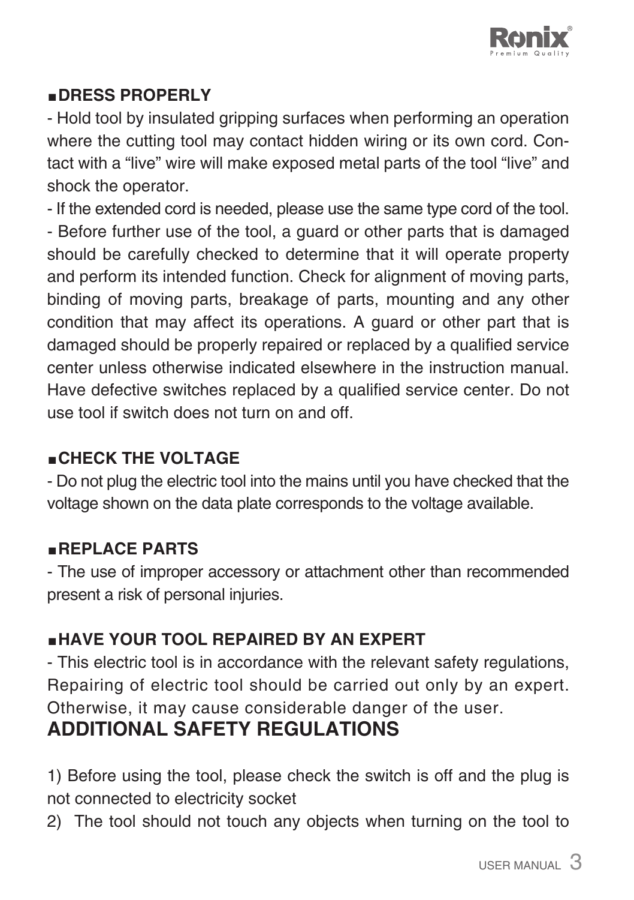

### .**DRESS PROPERLY**

- Hold tool by insulated gripping surfaces when performing an operation where the cutting tool may contact hidden wiring or its own cord. Contact with a "live" wire will make exposed metal parts of the tool "live" and shock the operator.

- If the extended cord is needed, please use the same type cord of the tool. - Before further use of the tool, a guard or other parts that is damaged should be carefully checked to determine that it will operate property and perform its intended function. Check for alignment of moving parts, binding of moving parts, breakage of parts, mounting and any other condition that may affect its operations. A guard or other part that is damaged should be properly repaired or replaced by a qualified service center unless otherwise indicated elsewhere in the instruction manual. Have defective switches replaced by a qualified service center. Do not use tool if switch does not turn on and off.

#### .**CHECK THE VOLTAGE**

- Do not plug the electric tool into the mains until you have checked that the voltage shown on the data plate corresponds to the voltage available.

### .**REPLACE PARTS**

- The use of improper accessory or attachment other than recommended present a risk of personal injuries.

### .**HAVE YOUR TOOL REPAIRED BY AN EXPERT**

- This electric tool is in accordance with the relevant safety regulations, Repairing of electric tool should be carried out only by an expert. Otherwise, it may cause considerable danger of the user.

### **ADDITIONAL SAFETY REGULATIONS**

1) Before using the tool, please check the switch is off and the plug is not connected to electricity socket

2) The tool should not touch any objects when turning on the tool to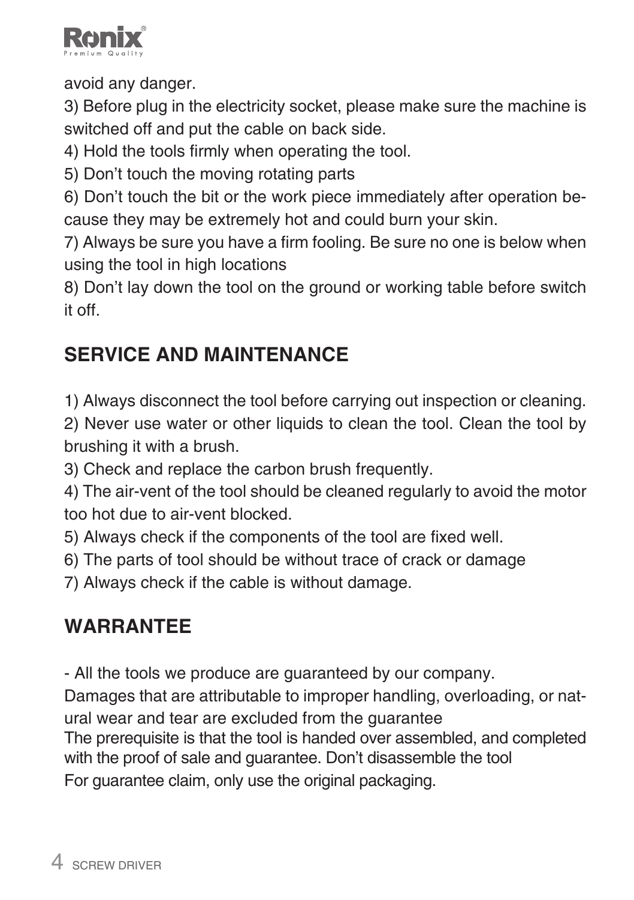

avoid any danger.

3) Before plug in the electricity socket, please make sure the machine is switched off and put the cable on back side.

4) Hold the tools firmly when operating the tool.

5) Don't touch the moving rotating parts

6) Don't touch the bit or the work piece immediately after operation because they may be extremely hot and could burn your skin.

7) Always be sure you have a firm fooling. Be sure no one is below when using the tool in high locations

8) Don't lay down the tool on the ground or working table before switch it off.

## **SERVICE AND MAINTENANCE**

1) Always disconnect the tool before carrying out inspection or cleaning.

2) Never use water or other liquids to clean the tool. Clean the tool by brushing it with a brush.

3) Check and replace the carbon brush frequently.

4) The air-vent of the tool should be cleaned regularly to avoid the motor too hot due to air-vent blocked.

5) Always check if the components of the tool are fixed well.

6) The parts of tool should be without trace of crack or damage

7) Always check if the cable is without damage.

## **WARRANTEE**

- All the tools we produce are guaranteed by our company.

Damages that are attributable to improper handling, overloading, or natural wear and tear are excluded from the guarantee

The prerequisite is that the tool is handed over assembled, and completed with the proof of sale and guarantee. Don't disassemble the tool

For guarantee claim, only use the original packaging.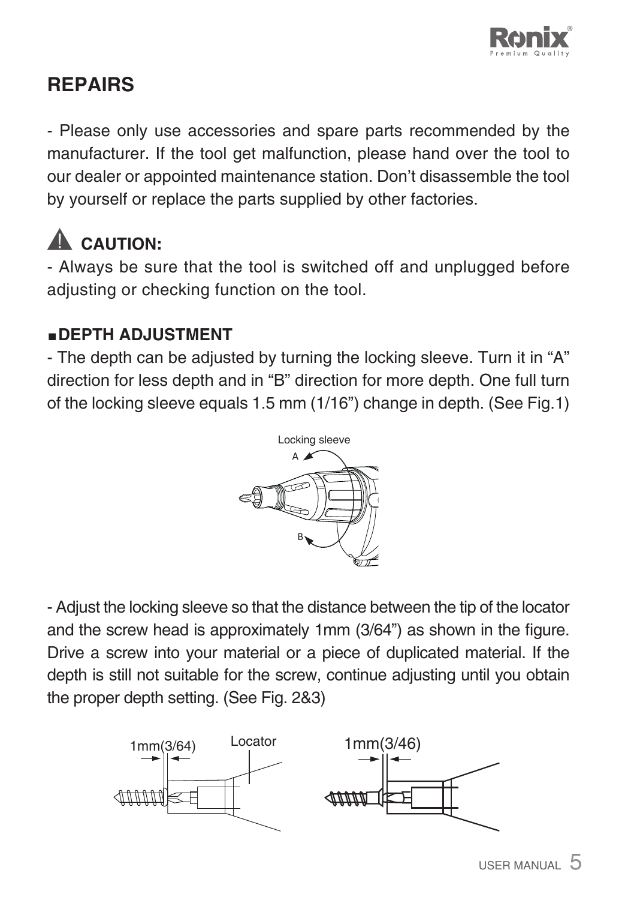

### **REPAIRS**

- Please only use accessories and spare parts recommended by the manufacturer. If the tool get malfunction, please hand over the tool to our dealer or appointed maintenance station. Don't disassemble the tool by yourself or replace the parts supplied by other factories.

# **A** CAUTION:

- Always be sure that the tool is switched off and unplugged before adjusting or checking function on the tool.

### .**DEPTH ADJUSTMENT**

- The depth can be adjusted by turning the locking sleeve. Turn it in "A" direction for less depth and in "B" direction for more depth. One full turn of the locking sleeve equals 1.5 mm (1/16") change in depth. (See Fig.1)



- Adjust the locking sleeve so that the distance between the tip of the locator and the screw head is approximately 1mm (3/64") as shown in the figure. Drive a screw into your material or a piece of duplicated material. If the depth is still not suitable for the screw, continue adjusting until you obtain the proper depth setting. (See Fig. 2&3)

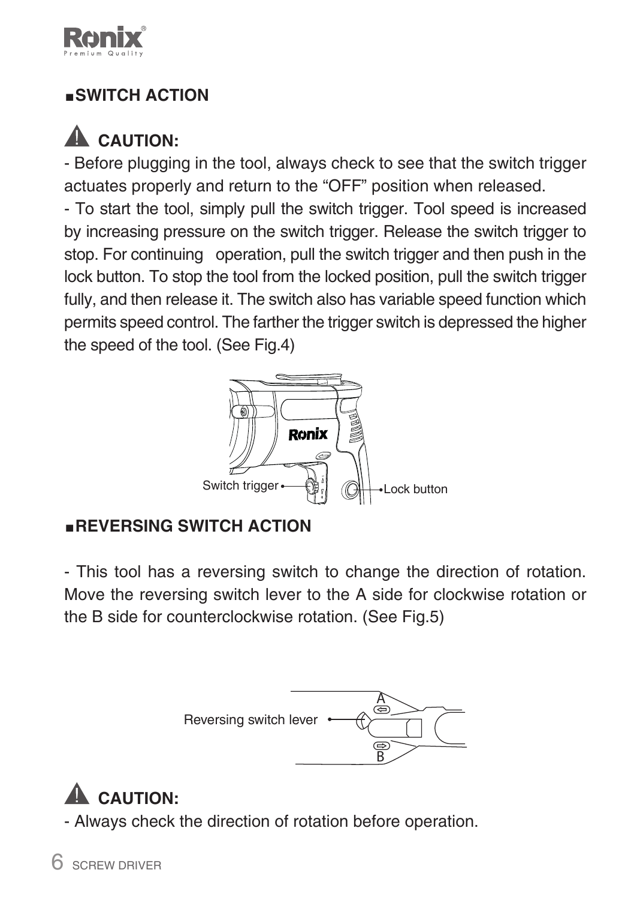

### .**SWITCH ACTION**

# A CAUTION:

- Before plugging in the tool, always check to see that the switch trigger actuates properly and return to the "OFF" position when released.

- To start the tool, simply pull the switch trigger. Tool speed is increased by increasing pressure on the switch trigger. Release the switch trigger to stop. For continuing operation, pull the switch trigger and then push in the lock button. To stop the tool from the locked position, pull the switch trigger fully, and then release it. The switch also has variable speed function which permits speed control. The farther the trigger switch is depressed the higher the speed of the tool. (See Fig.4)



### .**REVERSING SWITCH ACTION**

- This tool has a reversing switch to change the direction of rotation. Move the reversing switch lever to the A side for clockwise rotation or the B side for counterclockwise rotation. (See Fig.5)



# A CAUTION:

- Always check the direction of rotation before operation.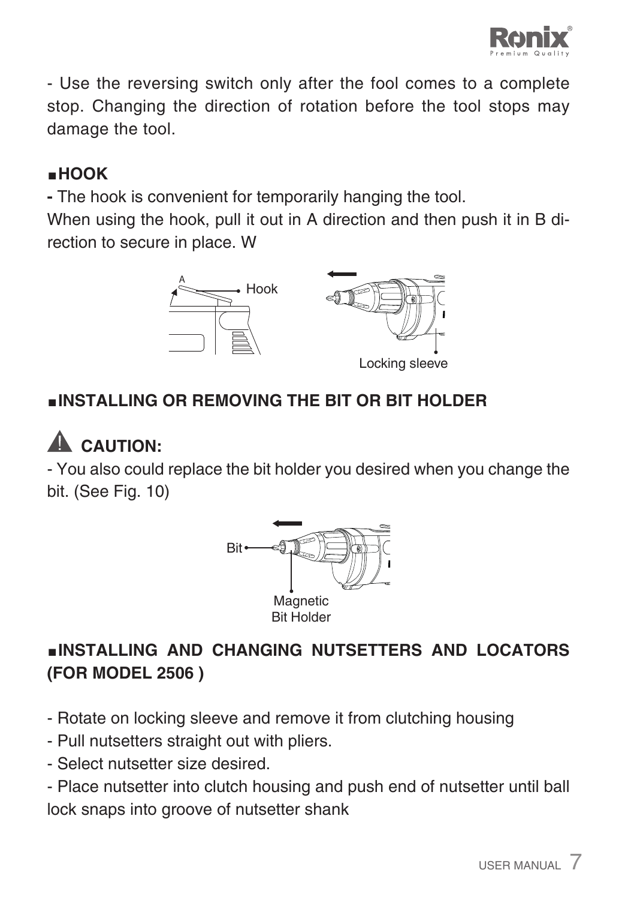

- Use the reversing switch only after the fool comes to a complete stop. Changing the direction of rotation before the tool stops may damage the tool.

### .**HOOK**

**-** The hook is convenient for temporarily hanging the tool.

When using the hook, pull it out in A direction and then push it in B direction to secure in place. W



### .**INSTALLING OR REMOVING THE BIT OR BIT HOLDER**

# A CAUTION:

- You also could replace the bit holder you desired when you change the bit. (See Fig. 10)



#### Bit Holder

### .**INSTALLING AND CHANGING NUTSETTERS AND LOCATORS (FOR MODEL 2506 )**

- Rotate on locking sleeve and remove it from clutching housing
- Pull nutsetters straight out with pliers.
- Select nutsetter size desired.

- Place nutsetter into clutch housing and push end of nutsetter until ball lock snaps into groove of nutsetter shank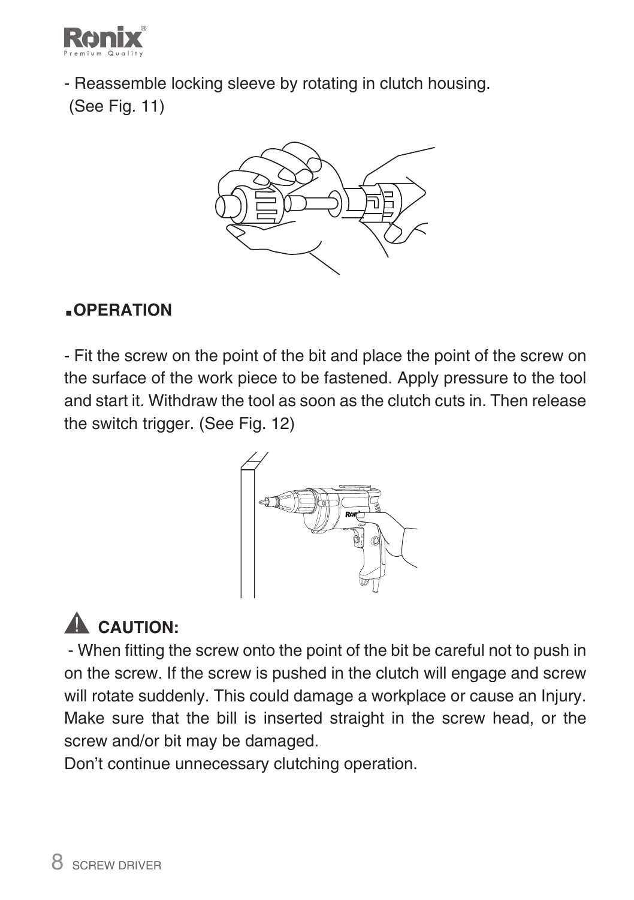

- Reassemble locking sleeve by rotating in clutch housing. (See Fig. 11)



### **.OPERATION**

- Fit the screw on the point of the bit and place the point of the screw on the surface of the work piece to be fastened. Apply pressure to the tool and start it. Withdraw the tool as soon as the clutch cuts in. Then release the switch trigger. (See Fig. 12)



# **A** CAUTION:

 - When fitting the screw onto the point of the bit be careful not to push in on the screw. If the screw is pushed in the clutch will engage and screw will rotate suddenly. This could damage a workplace or cause an Injury. Make sure that the bill is inserted straight in the screw head, or the screw and/or bit may be damaged.

Don't continue unnecessary clutching operation.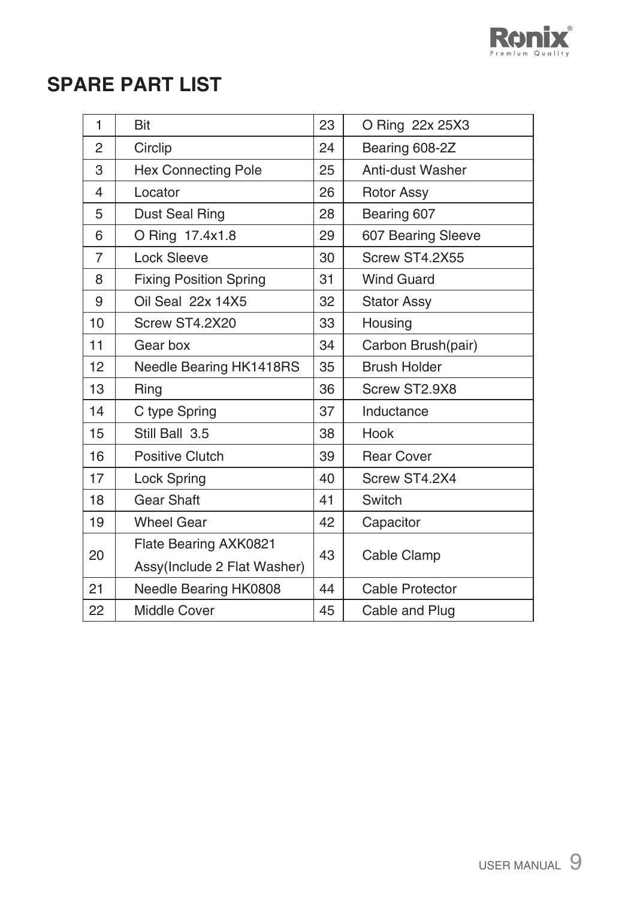

### **SPARE PART LIST**

| 1              | Bit                           | 23 | O Ring 22x 25X3     |
|----------------|-------------------------------|----|---------------------|
| 2              | Circlip                       | 24 | Bearing 608-2Z      |
| 3              | <b>Hex Connecting Pole</b>    | 25 | Anti-dust Washer    |
| 4              | Locator                       | 26 | Rotor Assy          |
| 5              | <b>Dust Seal Ring</b>         | 28 | Bearing 607         |
| 6              | O Ring 17.4x1.8               | 29 | 607 Bearing Sleeve  |
| $\overline{7}$ | Lock Sleeve                   | 30 | Screw ST4.2X55      |
| 8              | <b>Fixing Position Spring</b> | 31 | <b>Wind Guard</b>   |
| 9              | Oil Seal 22x 14X5             | 32 | <b>Stator Assy</b>  |
| 10             | Screw ST4.2X20                | 33 | Housing             |
| 11             | Gear box                      | 34 | Carbon Brush(pair)  |
| 12             | Needle Bearing HK1418RS       | 35 | <b>Brush Holder</b> |
| 13             | Ring                          | 36 | Screw ST2.9X8       |
| 14             | C type Spring                 | 37 | Inductance          |
| 15             | Still Ball 3.5                | 38 | Hook                |
| 16             | Positive Clutch               | 39 | <b>Rear Cover</b>   |
| 17             | Lock Spring                   | 40 | Screw ST4.2X4       |
| 18             | <b>Gear Shaft</b>             | 41 | Switch              |
| 19             | <b>Wheel Gear</b>             | 42 | Capacitor           |
| 20             | Flate Bearing AXK0821         | 43 | Cable Clamp         |
|                | Assy(Include 2 Flat Washer)   |    |                     |
| 21             | Needle Bearing HK0808         | 44 | Cable Protector     |
| 22             | <b>Middle Cover</b>           | 45 | Cable and Plug      |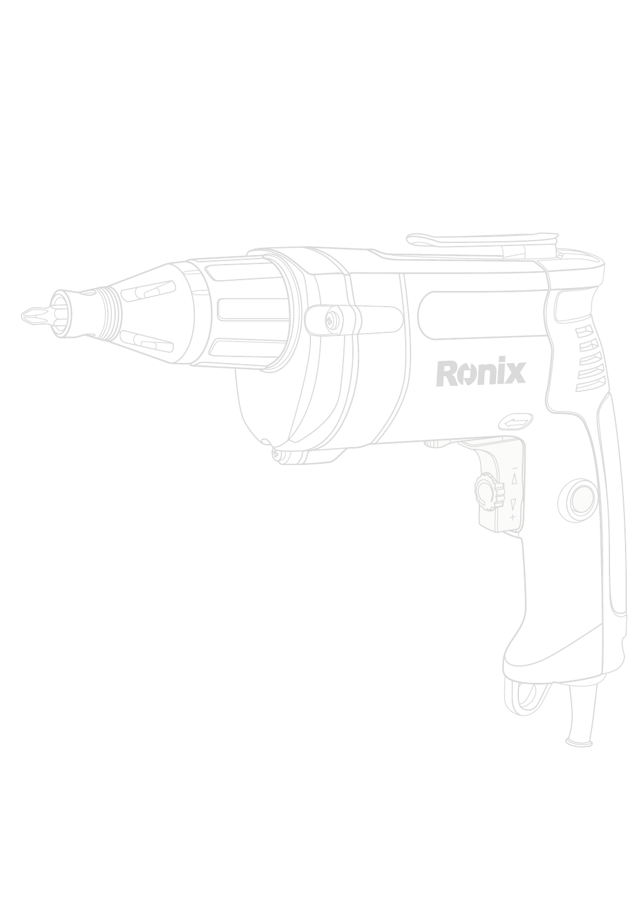